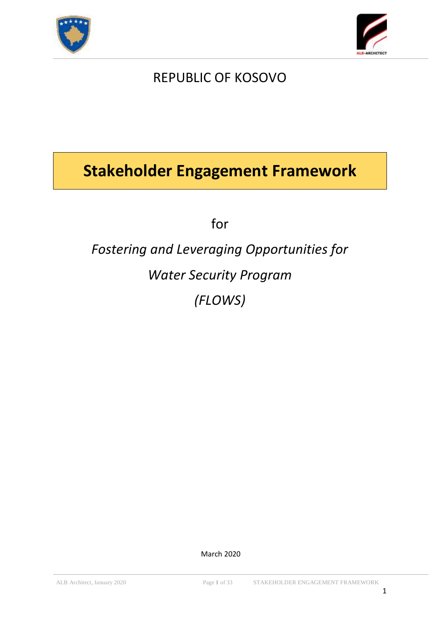



# REPUBLIC OF KOSOVO

# **Stakeholder Engagement Framework**

for

# *Fostering and Leveraging Opportunities for Water Security Program (FLOWS)*

March 2020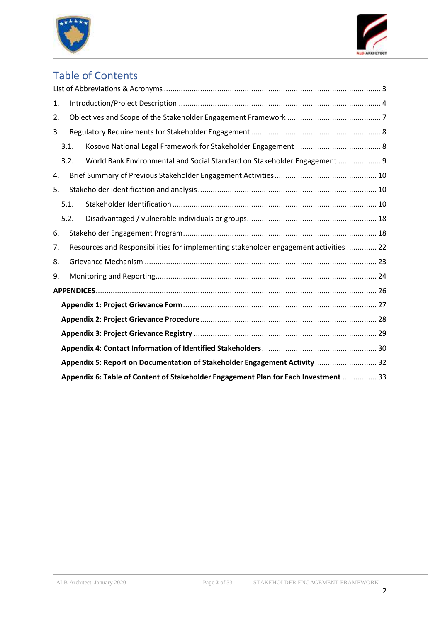



# Table of Contents

| 1. |      |      |                                                                                       |
|----|------|------|---------------------------------------------------------------------------------------|
| 2. |      |      |                                                                                       |
| 3. |      |      |                                                                                       |
|    | 3.1. |      |                                                                                       |
|    |      | 3.2. | World Bank Environmental and Social Standard on Stakeholder Engagement  9             |
| 4. |      |      |                                                                                       |
| 5. |      |      |                                                                                       |
|    | 5.1. |      |                                                                                       |
|    | 5.2. |      |                                                                                       |
| 6. |      |      |                                                                                       |
| 7. |      |      | Resources and Responsibilities for implementing stakeholder engagement activities  22 |
| 8. |      |      |                                                                                       |
| 9. |      |      |                                                                                       |
|    |      |      |                                                                                       |
|    |      |      |                                                                                       |
|    |      |      |                                                                                       |
|    |      |      |                                                                                       |
|    |      |      |                                                                                       |
|    |      |      | Appendix 5: Report on Documentation of Stakeholder Engagement Activity  32            |
|    |      |      | Appendix 6: Table of Content of Stakeholder Engagement Plan for Each Investment  33   |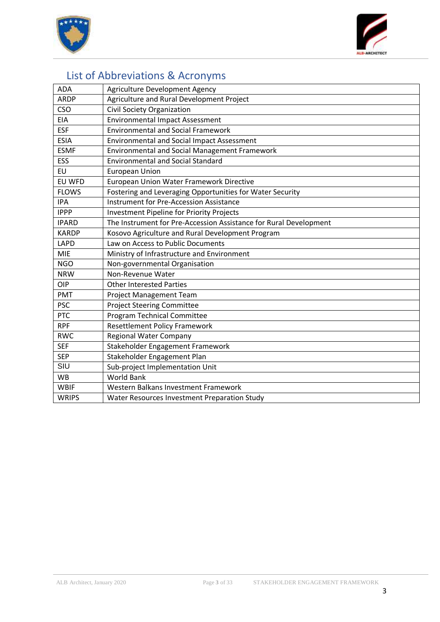



# <span id="page-2-0"></span>List of Abbreviations & Acronyms

| <b>ADA</b>   | Agriculture Development Agency                                    |
|--------------|-------------------------------------------------------------------|
| <b>ARDP</b>  | Agriculture and Rural Development Project                         |
| <b>CSO</b>   | <b>Civil Society Organization</b>                                 |
| <b>EIA</b>   | <b>Environmental Impact Assessment</b>                            |
| <b>ESF</b>   | <b>Environmental and Social Framework</b>                         |
| <b>ESIA</b>  | <b>Environmental and Social Impact Assessment</b>                 |
| <b>ESMF</b>  | Environmental and Social Management Framework                     |
| <b>ESS</b>   | <b>Environmental and Social Standard</b>                          |
| EU           | <b>European Union</b>                                             |
| EU WFD       | European Union Water Framework Directive                          |
| <b>FLOWS</b> | Fostering and Leveraging Opportunities for Water Security         |
| <b>IPA</b>   | <b>Instrument for Pre-Accession Assistance</b>                    |
| <b>IPPP</b>  | <b>Investment Pipeline for Priority Projects</b>                  |
| <b>IPARD</b> | The Instrument for Pre-Accession Assistance for Rural Development |
| <b>KARDP</b> | Kosovo Agriculture and Rural Development Program                  |
| LAPD         | Law on Access to Public Documents                                 |
| <b>MIE</b>   | Ministry of Infrastructure and Environment                        |
| <b>NGO</b>   | Non-governmental Organisation                                     |
| <b>NRW</b>   | Non-Revenue Water                                                 |
| OIP          | <b>Other Interested Parties</b>                                   |
| <b>PMT</b>   | Project Management Team                                           |
| <b>PSC</b>   | <b>Project Steering Committee</b>                                 |
| <b>PTC</b>   | <b>Program Technical Committee</b>                                |
| <b>RPF</b>   | <b>Resettlement Policy Framework</b>                              |
| <b>RWC</b>   | <b>Regional Water Company</b>                                     |
| <b>SEF</b>   | Stakeholder Engagement Framework                                  |
| <b>SEP</b>   | Stakeholder Engagement Plan                                       |
| SIU          | Sub-project Implementation Unit                                   |
| <b>WB</b>    | <b>World Bank</b>                                                 |
| <b>WBIF</b>  | Western Balkans Investment Framework                              |
| <b>WRIPS</b> | Water Resources Investment Preparation Study                      |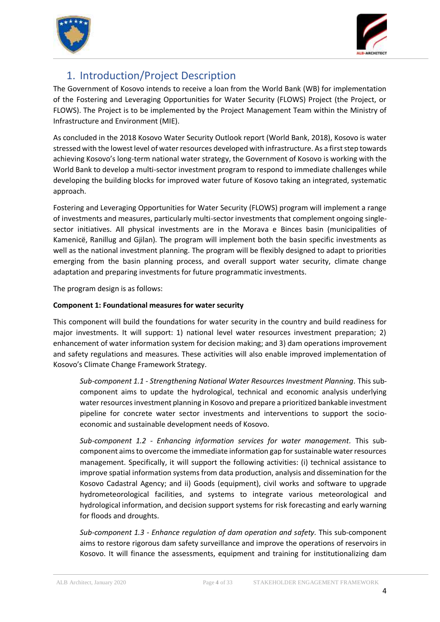



# <span id="page-3-0"></span>1. Introduction/Project Description

The Government of Kosovo intends to receive a loan from the World Bank (WB) for implementation of the Fostering and Leveraging Opportunities for Water Security (FLOWS) Project (the Project, or FLOWS). The Project is to be implemented by the Project Management Team within the Ministry of Infrastructure and Environment (MIE).

As concluded in the 2018 Kosovo Water Security Outlook report (World Bank, 2018), Kosovo is water stressed with the lowest level of water resources developed with infrastructure. As a first step towards achieving Kosovo's long-term national water strategy, the Government of Kosovo is working with the World Bank to develop a multi-sector investment program to respond to immediate challenges while developing the building blocks for improved water future of Kosovo taking an integrated, systematic approach.

Fostering and Leveraging Opportunities for Water Security (FLOWS) program will implement a range of investments and measures, particularly multi-sector investments that complement ongoing singlesector initiatives. All physical investments are in the Morava e Binces basin (municipalities of Kamenicë, Ranillug and Gjilan). The program will implement both the basin specific investments as well as the national investment planning. The program will be flexibly designed to adapt to priorities emerging from the basin planning process, and overall support water security, climate change adaptation and preparing investments for future programmatic investments.

The program design is as follows:

#### **Component 1: Foundational measures for water security**

This component will build the foundations for water security in the country and build readiness for major investments. It will support: 1) national level water resources investment preparation; 2) enhancement of water information system for decision making; and 3) dam operations improvement and safety regulations and measures. These activities will also enable improved implementation of Kosovo's Climate Change Framework Strategy.

*Sub-component 1.1 - Strengthening National Water Resources Investment Planning.* This subcomponent aims to update the hydrological, technical and economic analysis underlying water resources investment planning in Kosovo and prepare a prioritized bankable investment pipeline for concrete water sector investments and interventions to support the socioeconomic and sustainable development needs of Kosovo.

*Sub-component 1.2 - Enhancing information services for water management.* This subcomponent aims to overcome the immediate information gap for sustainable water resources management. Specifically, it will support the following activities: (i) technical assistance to improve spatial information systems from data production, analysis and dissemination for the Kosovo Cadastral Agency; and ii) Goods (equipment), civil works and software to upgrade hydrometeorological facilities, and systems to integrate various meteorological and hydrological information, and decision support systems for risk forecasting and early warning for floods and droughts.

*Sub-component 1.3 - Enhance regulation of dam operation and safety.* This sub-component aims to restore rigorous dam safety surveillance and improve the operations of reservoirs in Kosovo. It will finance the assessments, equipment and training for institutionalizing dam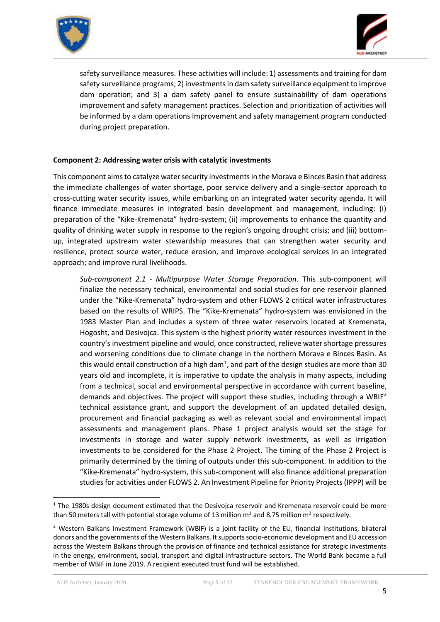



safety surveillance measures. These activities will include: 1) assessments and training for dam safety surveillance programs; 2) investments in dam safety surveillance equipment to improve dam operation; and 3) a dam safety panel to ensure sustainability of dam operations improvement and safety management practices. Selection and prioritization of activities will be informed by a dam operations improvement and safety management program conducted during project preparation.

#### **Component 2: Addressing water crisis with catalytic investments**

This component aims to catalyze water security investments in the Morava e Binces Basin that address the immediate challenges of water shortage, poor service delivery and a single-sector approach to cross-cutting water security issues, while embarking on an integrated water security agenda. It will finance immediate measures in integrated basin development and management, including: (i) preparation of the "Kike-Kremenata" hydro-system; (ii) improvements to enhance the quantity and quality of drinking water supply in response to the region's ongoing drought crisis; and (iii) bottomup, integrated upstream water stewardship measures that can strengthen water security and resilience, protect source water, reduce erosion, and improve ecological services in an integrated approach; and improve rural livelihoods.

*Sub-component 2.1 - Multipurpose Water Storage Preparation.* This sub-component will finalize the necessary technical, environmental and social studies for one reservoir planned under the "Kike-Kremenata" hydro-system and other FLOWS 2 critical water infrastructures based on the results of WRIPS. The "Kike-Kremenata" hydro-system was envisioned in the 1983 Master Plan and includes a system of three water reservoirs located at Kremenata, Hogosht, and Desivojca. This system is the highest priority water resources investment in the country's investment pipeline and would, once constructed, relieve water shortage pressures and worsening conditions due to climate change in the northern Morava e Binces Basin. As this would entail construction of a high dam<sup>1</sup>, and part of the design studies are more than 30 years old and incomplete, it is imperative to update the analysis in many aspects, including from a technical, social and environmental perspective in accordance with current baseline, demands and objectives. The project will support these studies, including through a WBIF<sup>2</sup> technical assistance grant, and support the development of an updated detailed design, procurement and financial packaging as well as relevant social and environmental impact assessments and management plans. Phase 1 project analysis would set the stage for investments in storage and water supply network investments, as well as irrigation investments to be considered for the Phase 2 Project. The timing of the Phase 2 Project is primarily determined by the timing of outputs under this sub-component. In addition to the "Kike-Kremenata" hydro-system, this sub-component will also finance additional preparation studies for activities under FLOWS 2. An Investment Pipeline for Priority Projects (IPPP) will be

-

 $1$  The 1980s design document estimated that the Desivojca reservoir and Kremenata reservoir could be more than 50 meters tall with potential storage volume of 13 million  $m^3$  and 8.75 million  $m^3$  respectively.

<sup>&</sup>lt;sup>2</sup> Western Balkans Investment Framework (WBIF) is a joint facility of the EU, financial institutions, bilateral donors and the governments of the Western Balkans. It supports socio-economic development and EU accession across the Western Balkans through the provision of finance and technical assistance for strategic investments in the energy, environment, social, transport and digital infrastructure sectors. The World Bank became a full member of WBIF in June 2019. A recipient executed trust fund will be established.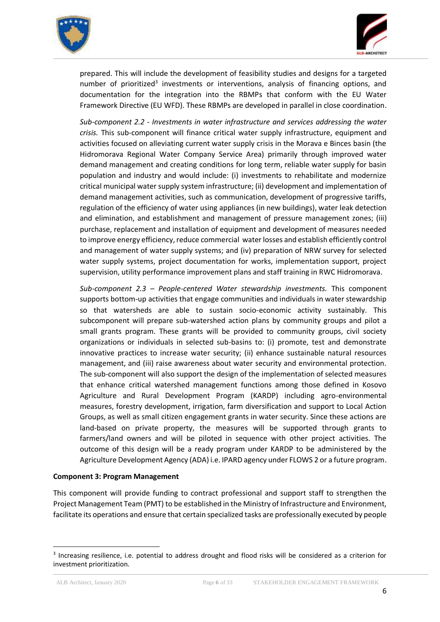



prepared. This will include the development of feasibility studies and designs for a targeted number of prioritized<sup>3</sup> investments or interventions, analysis of financing options, and documentation for the integration into the RBMPs that conform with the EU Water Framework Directive (EU WFD). These RBMPs are developed in parallel in close coordination.

*Sub-component 2.2 - Investments in water infrastructure and services addressing the water crisis.* This sub-component will finance critical water supply infrastructure, equipment and activities focused on alleviating current water supply crisis in the Morava e Binces basin (the Hidromorava Regional Water Company Service Area) primarily through improved water demand management and creating conditions for long term, reliable water supply for basin population and industry and would include: (i) investments to rehabilitate and modernize critical municipal water supply system infrastructure; (ii) development and implementation of demand management activities, such as communication, development of progressive tariffs, regulation of the efficiency of water using appliances (in new buildings), water leak detection and elimination, and establishment and management of pressure management zones; (iii) purchase, replacement and installation of equipment and development of measures needed to improve energy efficiency, reduce commercial water losses and establish efficiently control and management of water supply systems; and (iv) preparation of NRW survey for selected water supply systems, project documentation for works, implementation support, project supervision, utility performance improvement plans and staff training in RWC Hidromorava.

*Sub-component 2.3 – People-centered Water stewardship investments.* This component supports bottom-up activities that engage communities and individuals in water stewardship so that watersheds are able to sustain socio-economic activity sustainably. This subcomponent will prepare sub-watershed action plans by community groups and pilot a small grants program. These grants will be provided to community groups, civil society organizations or individuals in selected sub-basins to: (i) promote, test and demonstrate innovative practices to increase water security; (ii) enhance sustainable natural resources management, and (iii) raise awareness about water security and environmental protection. The sub-component will also support the design of the implementation of selected measures that enhance critical watershed management functions among those defined in Kosovo Agriculture and Rural Development Program (KARDP) including agro-environmental measures, forestry development, irrigation, farm diversification and support to Local Action Groups, as well as small citizen engagement grants in water security. Since these actions are land-based on private property, the measures will be supported through grants to farmers/land owners and will be piloted in sequence with other project activities. The outcome of this design will be a ready program under KARDP to be administered by the Agriculture Development Agency (ADA) i.e. IPARD agency under FLOWS 2 or a future program.

#### **Component 3: Program Management**

This component will provide funding to contract professional and support staff to strengthen the Project Management Team (PMT) to be established in the Ministry of Infrastructure and Environment, facilitate its operations and ensure that certain specialized tasks are professionally executed by people

1

<sup>&</sup>lt;sup>3</sup> Increasing resilience, i.e. potential to address drought and flood risks will be considered as a criterion for investment prioritization.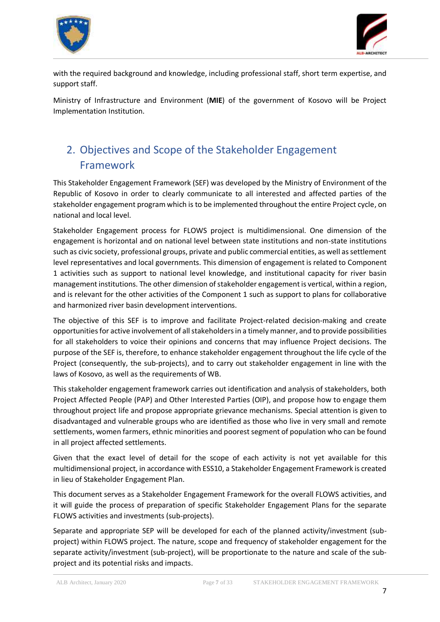



with the required background and knowledge, including professional staff, short term expertise, and support staff.

Ministry of Infrastructure and Environment (**MIE**) of the government of Kosovo will be Project Implementation Institution.

# <span id="page-6-0"></span>2. Objectives and Scope of the Stakeholder Engagement Framework

This Stakeholder Engagement Framework (SEF) was developed by the Ministry of Environment of the Republic of Kosovo in order to clearly communicate to all interested and affected parties of the stakeholder engagement program which is to be implemented throughout the entire Project cycle, on national and local level.

Stakeholder Engagement process for FLOWS project is multidimensional. One dimension of the engagement is horizontal and on national level between state institutions and non-state institutions such as civic society, professional groups, private and public commercial entities, as well as settlement level representatives and local governments. This dimension of engagement is related to Component 1 activities such as support to national level knowledge, and institutional capacity for river basin management institutions. The other dimension of stakeholder engagement is vertical, within a region, and is relevant for the other activities of the Component 1 such as support to plans for collaborative and harmonized river basin development interventions.

The objective of this SEF is to improve and facilitate Project-related decision-making and create opportunities for active involvement of all stakeholders in a timely manner, and to provide possibilities for all stakeholders to voice their opinions and concerns that may influence Project decisions. The purpose of the SEF is, therefore, to enhance stakeholder engagement throughout the life cycle of the Project (consequently, the sub-projects), and to carry out stakeholder engagement in line with the laws of Kosovo, as well as the requirements of WB.

This stakeholder engagement framework carries out identification and analysis of stakeholders, both Project Affected People (PAP) and Other Interested Parties (OIP), and propose how to engage them throughout project life and propose appropriate grievance mechanisms. Special attention is given to disadvantaged and vulnerable groups who are identified as those who live in very small and remote settlements, women farmers, ethnic minorities and poorest segment of population who can be found in all project affected settlements.

Given that the exact level of detail for the scope of each activity is not yet available for this multidimensional project, in accordance with ESS10, a Stakeholder Engagement Framework is created in lieu of Stakeholder Engagement Plan.

This document serves as a Stakeholder Engagement Framework for the overall FLOWS activities, and it will guide the process of preparation of specific Stakeholder Engagement Plans for the separate FLOWS activities and investments (sub-projects).

Separate and appropriate SEP will be developed for each of the planned activity/investment (subproject) within FLOWS project. The nature, scope and frequency of stakeholder engagement for the separate activity/investment (sub-project), will be proportionate to the nature and scale of the subproject and its potential risks and impacts.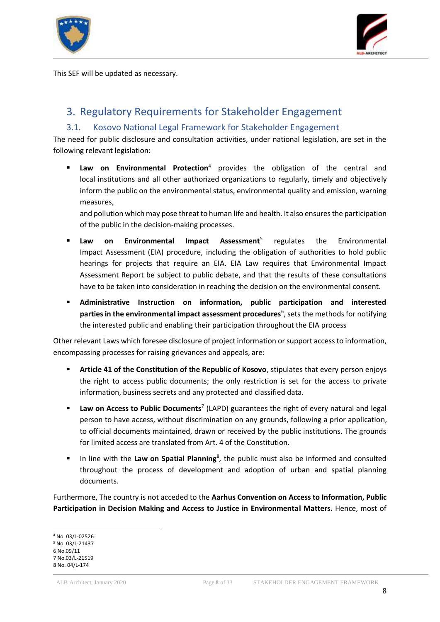



This SEF will be updated as necessary.

## <span id="page-7-0"></span>3. Regulatory Requirements for Stakeholder Engagement

#### 3.1. Kosovo National Legal Framework for Stakeholder Engagement

<span id="page-7-1"></span>The need for public disclosure and consultation activities, under national legislation, are set in the following relevant legislation:

 **Law on Environmental Protection**<sup>4</sup> provides the obligation of the central and local institutions and all other authorized organizations to regularly, timely and objectively inform the public on the environmental status, environmental quality and emission, warning measures,

and pollution which may pose threat to human life and health. It also ensures the participation of the public in the decision-making processes.

- **Law on Environmental Impact Assessment**<sup>5</sup> regulates the Environmental Impact Assessment (EIA) procedure, including the obligation of authorities to hold public hearings for projects that require an EIA. EIA Law requires that Environmental Impact Assessment Report be subject to public debate, and that the results of these consultations have to be taken into consideration in reaching the decision on the environmental consent.
- **Administrative Instruction on information, public participation and interested** parties in the environmental impact assessment procedures<sup>6</sup>, sets the methods for notifying the interested public and enabling their participation throughout the EIA process

Other relevant Laws which foresee disclosure of project information or support access to information, encompassing processes for raising grievances and appeals, are:

- **Article 41 of the Constitution of the Republic of Kosovo**, stipulates that every person enjoys the right to access public documents; the only restriction is set for the access to private information, business secrets and any protected and classified data.
- **Law on Access to Public Documents<sup>7</sup> (LAPD) guarantees the right of every natural and legal** person to have access, without discrimination on any grounds, following a prior application, to official documents maintained, drawn or received by the public institutions. The grounds for limited access are translated from Art. 4 of the Constitution.
- **IF** In line with the Law on Spatial Planning<sup>8</sup>, the public must also be informed and consulted throughout the process of development and adoption of urban and spatial planning documents.

Furthermore, The country is not acceded to the **Aarhus Convention on Access to Information, Public Participation in Decision Making and Access to Justice in Environmental Matters.** Hence, most of

<sup>-</sup><sup>4</sup> No. 03/L-02526 <sup>5</sup> No. 03/L-21437 6 No.09/11 7 No.03/L-21519 8 No. 04/L-174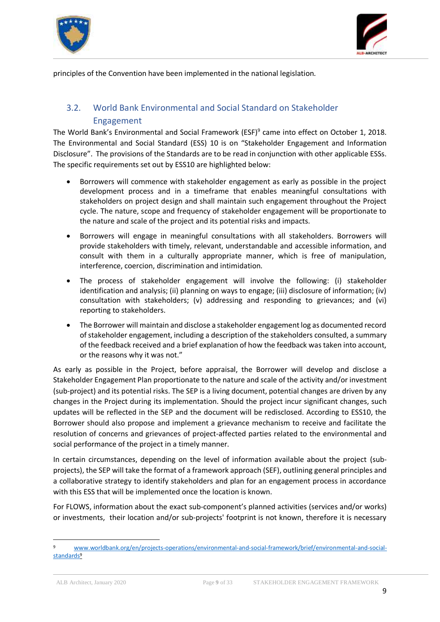



principles of the Convention have been implemented in the national legislation.

### <span id="page-8-0"></span>3.2. World Bank Environmental and Social Standard on Stakeholder Engagement

The World Bank's Environmental and Social Framework (ESF)<sup>9</sup> came into effect on October 1, 2018. The Environmental and Social Standard (ESS) 10 is on "Stakeholder Engagement and Information Disclosure". The provisions of the Standards are to be read in conjunction with other applicable ESSs. The specific requirements set out by ESS10 are highlighted below:

- Borrowers will commence with stakeholder engagement as early as possible in the project development process and in a timeframe that enables meaningful consultations with stakeholders on project design and shall maintain such engagement throughout the Project cycle. The nature, scope and frequency of stakeholder engagement will be proportionate to the nature and scale of the project and its potential risks and impacts.
- Borrowers will engage in meaningful consultations with all stakeholders. Borrowers will provide stakeholders with timely, relevant, understandable and accessible information, and consult with them in a culturally appropriate manner, which is free of manipulation, interference, coercion, discrimination and intimidation.
- The process of stakeholder engagement will involve the following: (i) stakeholder identification and analysis; (ii) planning on ways to engage; (iii) disclosure of information; (iv) consultation with stakeholders; (v) addressing and responding to grievances; and (vi) reporting to stakeholders.
- The Borrower will maintain and disclose a stakeholder engagement log as documented record of stakeholder engagement, including a description of the stakeholders consulted, a summary of the feedback received and a brief explanation of how the feedback was taken into account, or the reasons why it was not."

As early as possible in the Project, before appraisal, the Borrower will develop and disclose a Stakeholder Engagement Plan proportionate to the nature and scale of the activity and/or investment (sub-project) and its potential risks. The SEP is a living document, potential changes are driven by any changes in the Project during its implementation. Should the project incur significant changes, such updates will be reflected in the SEP and the document will be redisclosed. According to ESS10, the Borrower should also propose and implement a grievance mechanism to receive and facilitate the resolution of concerns and grievances of project-affected parties related to the environmental and social performance of the project in a timely manner.

In certain circumstances, depending on the level of information available about the project (subprojects), the SEP will take the format of a framework approach (SEF), outlining general principles and a collaborative strategy to identify stakeholders and plan for an engagement process in accordance with this ESS that will be implemented once the location is known.

For FLOWS, information about the exact sub-component's planned activities (services and/or works) or investments, their location and/or sub-projects' footprint is not known, therefore it is necessary

**.** 

[www.worldbank.org/en/projects-operations/environmental-and-social-framework/brief/environmental-and-social](http://www.worldbank.org/en/projects-operations/environmental-and-social-framework/brief/environmental-and-social-standards)[standards](http://www.worldbank.org/en/projects-operations/environmental-and-social-framework/brief/environmental-and-social-standards)<sup>9</sup>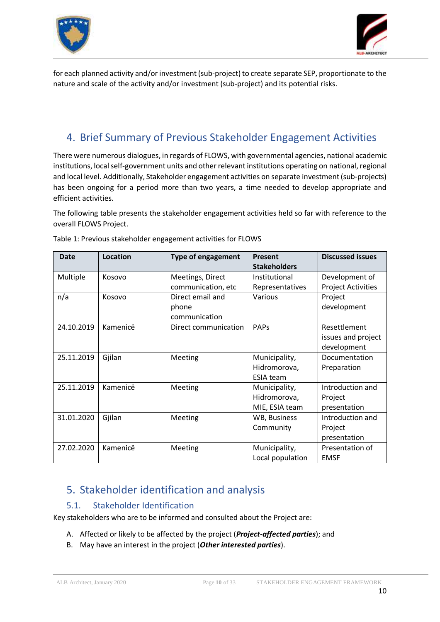



for each planned activity and/or investment (sub-project) to create separate SEP, proportionate to the nature and scale of the activity and/or investment (sub-project) and its potential risks.

# <span id="page-9-0"></span>4. Brief Summary of Previous Stakeholder Engagement Activities

There were numerous dialogues, in regards of FLOWS, with governmental agencies, national academic institutions, local self-government units and other relevant institutions operating on national, regional and local level. Additionally, Stakeholder engagement activities on separate investment (sub-projects) has been ongoing for a period more than two years, a time needed to develop appropriate and efficient activities.

The following table presents the stakeholder engagement activities held so far with reference to the overall FLOWS Project.

| Date       | <b>Location</b> | <b>Type of engagement</b> | <b>Present</b><br><b>Stakeholders</b> | <b>Discussed issues</b>   |
|------------|-----------------|---------------------------|---------------------------------------|---------------------------|
| Multiple   | Kosovo          | Meetings, Direct          | Institutional                         | Development of            |
|            |                 | communication, etc        | Representatives                       | <b>Project Activities</b> |
| n/a        | Kosovo          | Direct email and          | Various                               | Project                   |
|            |                 | phone                     |                                       | development               |
|            |                 | communication             |                                       |                           |
| 24.10.2019 | Kamenicë        | Direct communication      | PAPS                                  | Resettlement              |
|            |                 |                           |                                       | issues and project        |
|            |                 |                           |                                       | development               |
| 25.11.2019 | Gjilan          | Meeting                   | Municipality,                         | Documentation             |
|            |                 |                           | Hidromorova,                          | Preparation               |
|            |                 |                           | <b>ESIA team</b>                      |                           |
| 25.11.2019 | Kamenicë        | Meeting                   | Municipality,                         | Introduction and          |
|            |                 |                           | Hidromorova,                          | Project                   |
|            |                 |                           | MIE, ESIA team                        | presentation              |
| 31.01.2020 | Gjilan          | Meeting                   | WB, Business                          | Introduction and          |
|            |                 |                           | Community                             | Project                   |
|            |                 |                           |                                       | presentation              |
| 27.02.2020 | Kamenicë        | Meeting                   | Municipality,                         | Presentation of           |
|            |                 |                           | Local population                      | <b>EMSF</b>               |

Table 1: Previous stakeholder engagement activities for FLOWS

# <span id="page-9-1"></span>5. Stakeholder identification and analysis

#### 5.1. Stakeholder Identification

<span id="page-9-2"></span>Key stakeholders who are to be informed and consulted about the Project are:

- A. Affected or likely to be affected by the project (*Project-affected parties*); and
- B. May have an interest in the project (*Other interested parties*).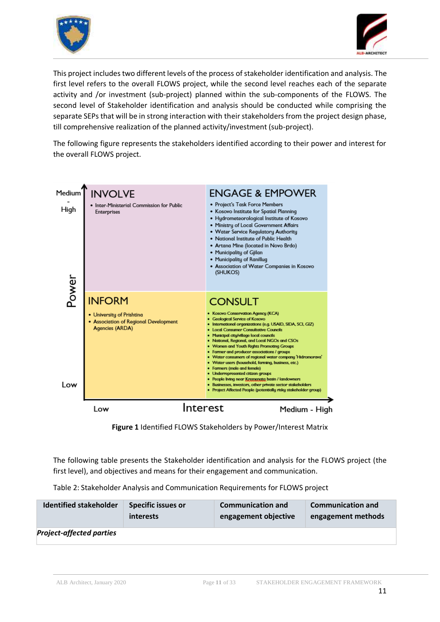



This project includes two different levels of the process of stakeholder identification and analysis. The first level refers to the overall FLOWS project, while the second level reaches each of the separate activity and /or investment (sub-project) planned within the sub-components of the FLOWS. The second level of Stakeholder identification and analysis should be conducted while comprising the separate SEPs that will be in strong interaction with their stakeholders from the project design phase, till comprehensive realization of the planned activity/investment (sub-project).

The following figure represents the stakeholders identified according to their power and interest for the overall FLOWS project.



**Figure 1** Identified FLOWS Stakeholders by Power/Interest Matrix

The following table presents the Stakeholder identification and analysis for the FLOWS project (the first level), and objectives and means for their engagement and communication.

| Table 2: Stakeholder Analysis and Communication Requirements for FLOWS project |  |  |
|--------------------------------------------------------------------------------|--|--|
|--------------------------------------------------------------------------------|--|--|

| <b>Identified stakeholder</b>   | <b>Specific issues or</b> | <b>Communication and</b> | <b>Communication and</b> |  |
|---------------------------------|---------------------------|--------------------------|--------------------------|--|
|                                 | interests                 | engagement objective     | engagement methods       |  |
| <b>Project-affected parties</b> |                           |                          |                          |  |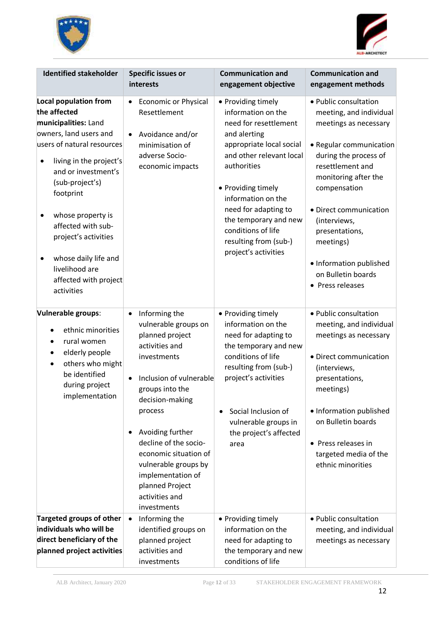



| <b>Identified stakeholder</b>                                                                                                                                                                                                                                                                                                                                              | <b>Specific issues or</b><br>interests                                                                                                                                                                                                                                                                                                                         | <b>Communication and</b><br>engagement objective                                                                                                                                                                                                                                                                             | <b>Communication and</b><br>engagement methods                                                                                                                                                                                                                                                                                          |
|----------------------------------------------------------------------------------------------------------------------------------------------------------------------------------------------------------------------------------------------------------------------------------------------------------------------------------------------------------------------------|----------------------------------------------------------------------------------------------------------------------------------------------------------------------------------------------------------------------------------------------------------------------------------------------------------------------------------------------------------------|------------------------------------------------------------------------------------------------------------------------------------------------------------------------------------------------------------------------------------------------------------------------------------------------------------------------------|-----------------------------------------------------------------------------------------------------------------------------------------------------------------------------------------------------------------------------------------------------------------------------------------------------------------------------------------|
| Local population from<br>the affected<br>municipalities: Land<br>owners, land users and<br>users of natural resources<br>living in the project's<br>٠<br>and or investment's<br>(sub-project's)<br>footprint<br>whose property is<br>٠<br>affected with sub-<br>project's activities<br>whose daily life and<br>٠<br>livelihood are<br>affected with project<br>activities | <b>Economic or Physical</b><br>$\bullet$<br>Resettlement<br>Avoidance and/or<br>minimisation of<br>adverse Socio-<br>economic impacts                                                                                                                                                                                                                          | • Providing timely<br>information on the<br>need for resettlement<br>and alerting<br>appropriate local social<br>and other relevant local<br>authorities<br>• Providing timely<br>information on the<br>need for adapting to<br>the temporary and new<br>conditions of life<br>resulting from (sub-)<br>project's activities | • Public consultation<br>meeting, and individual<br>meetings as necessary<br>· Regular communication<br>during the process of<br>resettlement and<br>monitoring after the<br>compensation<br>· Direct communication<br>(interviews,<br>presentations,<br>meetings)<br>· Information published<br>on Bulletin boards<br>• Press releases |
| Vulnerable groups:<br>ethnic minorities<br>rural women<br>$\bullet$<br>elderly people<br>$\bullet$<br>others who might<br>٠<br>be identified<br>during project<br>implementation                                                                                                                                                                                           | Informing the<br>$\bullet$<br>vulnerable groups on<br>planned project<br>activities and<br>investments<br>Inclusion of vulnerable<br>groups into the<br>decision-making<br>process<br>Avoiding further<br>٠<br>decline of the socio-<br>economic situation of<br>vulnerable groups by<br>implementation of<br>planned Project<br>activities and<br>investments | • Providing timely<br>information on the<br>need for adapting to<br>the temporary and new<br>conditions of life<br>resulting from (sub-)<br>project's activities<br>Social Inclusion of<br>٠<br>vulnerable groups in<br>the project's affected<br>area                                                                       | • Public consultation<br>meeting, and individual<br>meetings as necessary<br>· Direct communication<br>(interviews,<br>presentations,<br>meetings)<br>• Information published<br>on Bulletin boards<br>• Press releases in<br>targeted media of the<br>ethnic minorities                                                                |
| <b>Targeted groups of other</b><br>individuals who will be<br>direct beneficiary of the<br>planned project activities                                                                                                                                                                                                                                                      | Informing the<br>$\bullet$<br>identified groups on<br>planned project<br>activities and<br>investments                                                                                                                                                                                                                                                         | • Providing timely<br>information on the<br>need for adapting to<br>the temporary and new<br>conditions of life                                                                                                                                                                                                              | • Public consultation<br>meeting, and individual<br>meetings as necessary                                                                                                                                                                                                                                                               |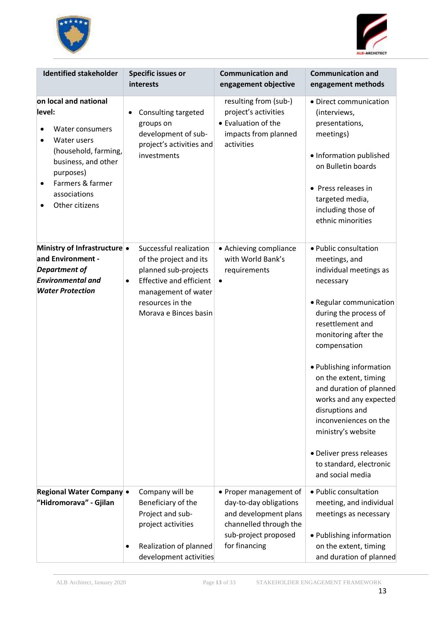



| <b>Identified stakeholder</b>                                                                                                                                                                    | <b>Specific issues or</b><br>interests                                                                                                                                                      | <b>Communication and</b><br>engagement objective                                                                                             | <b>Communication and</b><br>engagement methods                                                                                                                                                                                                                                                                                                                                                                                                       |
|--------------------------------------------------------------------------------------------------------------------------------------------------------------------------------------------------|---------------------------------------------------------------------------------------------------------------------------------------------------------------------------------------------|----------------------------------------------------------------------------------------------------------------------------------------------|------------------------------------------------------------------------------------------------------------------------------------------------------------------------------------------------------------------------------------------------------------------------------------------------------------------------------------------------------------------------------------------------------------------------------------------------------|
| on local and national<br>level:<br>Water consumers<br>Water users<br>(household, farming,<br>business, and other<br>purposes)<br>Farmers & farmer<br>$\bullet$<br>associations<br>Other citizens | Consulting targeted<br>groups on<br>development of sub-<br>project's activities and<br>investments                                                                                          | resulting from (sub-)<br>project's activities<br>• Evaluation of the<br>impacts from planned<br>activities                                   | • Direct communication<br>(interviews,<br>presentations,<br>meetings)<br>• Information published<br>on Bulletin boards<br>• Press releases in<br>targeted media,<br>including those of<br>ethnic minorities                                                                                                                                                                                                                                          |
| Ministry of Infrastructure •<br>and Environment -<br>Department of<br><b>Environmental and</b><br><b>Water Protection</b>                                                                        | Successful realization<br>of the project and its<br>planned sub-projects<br><b>Effective and efficient</b><br>$\bullet$<br>management of water<br>resources in the<br>Morava e Binces basin | • Achieving compliance<br>with World Bank's<br>requirements                                                                                  | • Public consultation<br>meetings, and<br>individual meetings as<br>necessary<br>• Regular communication<br>during the process of<br>resettlement and<br>monitoring after the<br>compensation<br>• Publishing information<br>on the extent, timing<br>and duration of planned<br>works and any expected<br>disruptions and<br>inconveniences on the<br>ministry's website<br>· Deliver press releases<br>to standard, electronic<br>and social media |
| Regional Water Company •<br>"Hidromorava" - Gjilan                                                                                                                                               | Company will be<br>Beneficiary of the<br>Project and sub-<br>project activities<br>Realization of planned<br>٠<br>development activities                                                    | • Proper management of<br>day-to-day obligations<br>and development plans<br>channelled through the<br>sub-project proposed<br>for financing | • Public consultation<br>meeting, and individual<br>meetings as necessary<br>• Publishing information<br>on the extent, timing<br>and duration of planned                                                                                                                                                                                                                                                                                            |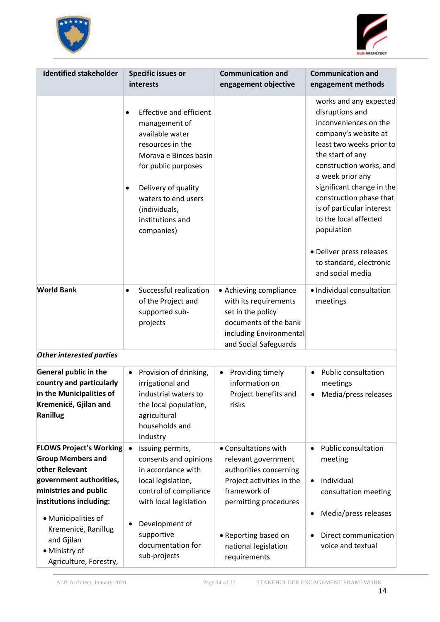



| <b>Identified stakeholder</b>                                                                                                                                                                                                                                      | <b>Specific issues or</b><br>interests                                                                                                                                                                                                                                                                                                                       | <b>Communication and</b><br>engagement objective                                                                                                                                                            | <b>Communication and</b><br>engagement methods                                                                                                                                                                                                                                                                                                                                                                                            |
|--------------------------------------------------------------------------------------------------------------------------------------------------------------------------------------------------------------------------------------------------------------------|--------------------------------------------------------------------------------------------------------------------------------------------------------------------------------------------------------------------------------------------------------------------------------------------------------------------------------------------------------------|-------------------------------------------------------------------------------------------------------------------------------------------------------------------------------------------------------------|-------------------------------------------------------------------------------------------------------------------------------------------------------------------------------------------------------------------------------------------------------------------------------------------------------------------------------------------------------------------------------------------------------------------------------------------|
| <b>World Bank</b><br><b>Other interested parties</b>                                                                                                                                                                                                               | <b>Effective and efficient</b><br>$\bullet$<br>management of<br>available water<br>resources in the<br>Morava e Binces basin<br>for public purposes<br>Delivery of quality<br>$\bullet$<br>waters to end users<br>(individuals,<br>institutions and<br>companies)<br>Successful realization<br>$\bullet$<br>of the Project and<br>supported sub-<br>projects | • Achieving compliance<br>with its requirements<br>set in the policy<br>documents of the bank<br>including Environmental<br>and Social Safeguards                                                           | works and any expected<br>disruptions and<br>inconveniences on the<br>company's website at<br>least two weeks prior to<br>the start of any<br>construction works, and<br>a week prior any<br>significant change in the<br>construction phase that<br>is of particular interest<br>to the local affected<br>population<br>• Deliver press releases<br>to standard, electronic<br>and social media<br>· Individual consultation<br>meetings |
|                                                                                                                                                                                                                                                                    |                                                                                                                                                                                                                                                                                                                                                              |                                                                                                                                                                                                             |                                                                                                                                                                                                                                                                                                                                                                                                                                           |
| <b>General public in the</b><br>country and particularly<br>in the Municipalities of<br>Kremenicë, Gjilan and<br>Ranillug                                                                                                                                          | Provision of drinking,<br>$\bullet$<br>irrigational and<br>industrial waters to<br>the local population,<br>agricultural<br>households and<br>industry                                                                                                                                                                                                       | Providing timely<br>٠<br>information on<br>Project benefits and<br>risks                                                                                                                                    | <b>Public consultation</b><br>meetings<br>Media/press releases                                                                                                                                                                                                                                                                                                                                                                            |
| <b>FLOWS Project's Working</b><br><b>Group Members and</b><br>other Relevant<br>government authorities,<br>ministries and public<br>institutions including:<br>· Municipalities of<br>Kremenicë, Ranillug<br>and Gjilan<br>• Ministry of<br>Agriculture, Forestry, | Issuing permits,<br>$\bullet$<br>consents and opinions<br>in accordance with<br>local legislation,<br>control of compliance<br>with local legislation<br>Development of<br>supportive<br>documentation for<br>sub-projects                                                                                                                                   | • Consultations with<br>relevant government<br>authorities concerning<br>Project activities in the<br>framework of<br>permitting procedures<br>• Reporting based on<br>national legislation<br>requirements | <b>Public consultation</b><br>meeting<br>Individual<br>consultation meeting<br>Media/press releases<br>٠<br>Direct communication<br>voice and textual                                                                                                                                                                                                                                                                                     |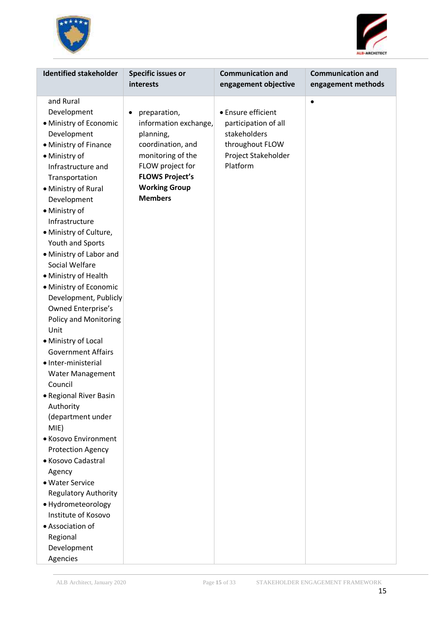



| <b>Identified stakeholder</b><br><b>Specific issues or</b><br>interests                                                                                                                                                                                                                                                                                                                                                                                                                                                                                                                                                                                                                                                                                                                                                                                                                                                                                                                                                                                                                   | <b>Communication and</b><br>engagement objective                                                                 | <b>Communication and</b><br>engagement methods |
|-------------------------------------------------------------------------------------------------------------------------------------------------------------------------------------------------------------------------------------------------------------------------------------------------------------------------------------------------------------------------------------------------------------------------------------------------------------------------------------------------------------------------------------------------------------------------------------------------------------------------------------------------------------------------------------------------------------------------------------------------------------------------------------------------------------------------------------------------------------------------------------------------------------------------------------------------------------------------------------------------------------------------------------------------------------------------------------------|------------------------------------------------------------------------------------------------------------------|------------------------------------------------|
| and Rural<br>Development<br>preparation,<br>٠<br>• Ministry of Economic<br>information exchange,<br>Development<br>planning,<br>• Ministry of Finance<br>coordination, and<br>monitoring of the<br>• Ministry of<br>FLOW project for<br>Infrastructure and<br><b>FLOWS Project's</b><br>Transportation<br><b>Working Group</b><br>• Ministry of Rural<br><b>Members</b><br>Development<br>• Ministry of<br>Infrastructure<br>· Ministry of Culture,<br>Youth and Sports<br>• Ministry of Labor and<br>Social Welfare<br>• Ministry of Health<br>• Ministry of Economic<br>Development, Publicly<br>Owned Enterprise's<br>Policy and Monitoring<br>Unit<br>• Ministry of Local<br><b>Government Affairs</b><br>· Inter-ministerial<br><b>Water Management</b><br>Council<br>· Regional River Basin<br>Authority<br>(department under<br>MIE)<br>• Kosovo Environment<br><b>Protection Agency</b><br>• Kosovo Cadastral<br>Agency<br>• Water Service<br><b>Regulatory Authority</b><br>· Hydrometeorology<br>Institute of Kosovo<br>• Association of<br>Regional<br>Development<br>Agencies | • Ensure efficient<br>participation of all<br>stakeholders<br>throughout FLOW<br>Project Stakeholder<br>Platform | $\bullet$                                      |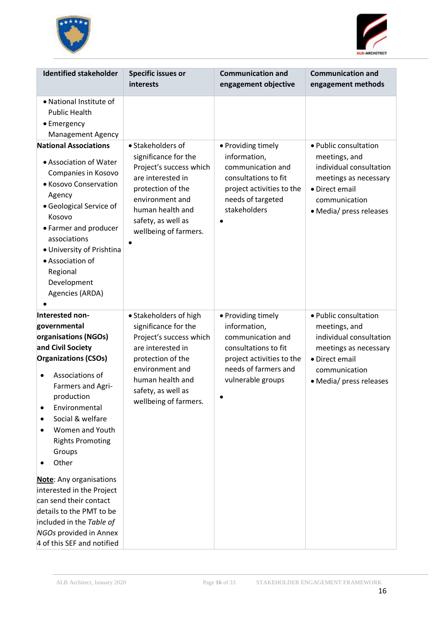



| <b>Identified stakeholder</b>                                                                                                                                                                                                                                                                                                                                                                                                                                                          | <b>Specific issues or</b><br>interests                                                                                                                                                                    | <b>Communication and</b><br>engagement objective                                                                                                          | <b>Communication and</b><br>engagement methods                                                                                                           |
|----------------------------------------------------------------------------------------------------------------------------------------------------------------------------------------------------------------------------------------------------------------------------------------------------------------------------------------------------------------------------------------------------------------------------------------------------------------------------------------|-----------------------------------------------------------------------------------------------------------------------------------------------------------------------------------------------------------|-----------------------------------------------------------------------------------------------------------------------------------------------------------|----------------------------------------------------------------------------------------------------------------------------------------------------------|
| • National Institute of<br><b>Public Health</b><br>• Emergency<br><b>Management Agency</b>                                                                                                                                                                                                                                                                                                                                                                                             |                                                                                                                                                                                                           |                                                                                                                                                           |                                                                                                                                                          |
| <b>National Associations</b><br>• Association of Water<br>Companies in Kosovo<br>• Kosovo Conservation<br>Agency<br>• Geological Service of<br>Kosovo<br>• Farmer and producer<br>associations<br>• University of Prishtina<br>• Association of<br>Regional<br>Development<br>Agencies (ARDA)                                                                                                                                                                                          | • Stakeholders of<br>significance for the<br>Project's success which<br>are interested in<br>protection of the<br>environment and<br>human health and<br>safety, as well as<br>wellbeing of farmers.      | • Providing timely<br>information,<br>communication and<br>consultations to fit<br>project activities to the<br>needs of targeted<br>stakeholders         | • Public consultation<br>meetings, and<br>individual consultation<br>meetings as necessary<br>• Direct email<br>communication<br>• Media/ press releases |
| Interested non-<br>governmental<br>organisations (NGOs)<br>and Civil Society<br><b>Organizations (CSOs)</b><br>Associations of<br>$\bullet$<br>Farmers and Agri-<br>production<br>Environmental<br>Social & welfare<br>Women and Youth<br><b>Rights Promoting</b><br>Groups<br>Other<br>Note: Any organisations<br>interested in the Project<br>can send their contact<br>details to the PMT to be<br>included in the Table of<br>NGOs provided in Annex<br>4 of this SEF and notified | • Stakeholders of high<br>significance for the<br>Project's success which<br>are interested in<br>protection of the<br>environment and<br>human health and<br>safety, as well as<br>wellbeing of farmers. | • Providing timely<br>information,<br>communication and<br>consultations to fit<br>project activities to the<br>needs of farmers and<br>vulnerable groups | • Public consultation<br>meetings, and<br>individual consultation<br>meetings as necessary<br>• Direct email<br>communication<br>• Media/ press releases |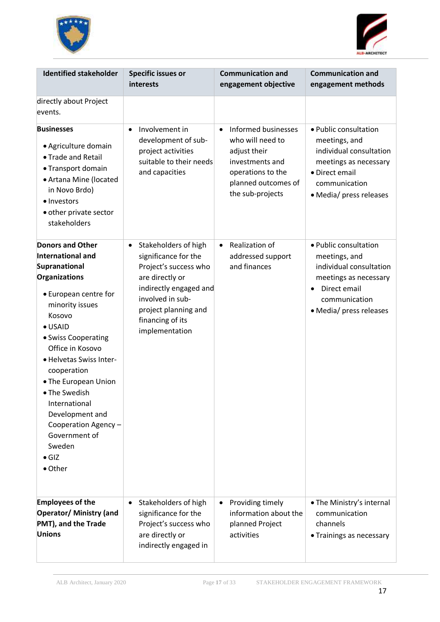



| <b>Identified stakeholder</b>                                                                                                                                                                                                                                                                                                                                                                                   | <b>Specific issues or</b><br>interests                                                                                                                                                                            | <b>Communication and</b><br>engagement objective                                                                                                        | <b>Communication and</b><br>engagement methods                                                                                                           |
|-----------------------------------------------------------------------------------------------------------------------------------------------------------------------------------------------------------------------------------------------------------------------------------------------------------------------------------------------------------------------------------------------------------------|-------------------------------------------------------------------------------------------------------------------------------------------------------------------------------------------------------------------|---------------------------------------------------------------------------------------------------------------------------------------------------------|----------------------------------------------------------------------------------------------------------------------------------------------------------|
| directly about Project<br>events.                                                                                                                                                                                                                                                                                                                                                                               |                                                                                                                                                                                                                   |                                                                                                                                                         |                                                                                                                                                          |
| <b>Businesses</b><br>• Agriculture domain<br>• Trade and Retail<br>• Transport domain<br>• Artana Mine (located<br>in Novo Brdo)<br>· Investors<br>• other private sector<br>stakeholders                                                                                                                                                                                                                       | Involvement in<br>$\bullet$<br>development of sub-<br>project activities<br>suitable to their needs<br>and capacities                                                                                             | Informed businesses<br>$\bullet$<br>who will need to<br>adjust their<br>investments and<br>operations to the<br>planned outcomes of<br>the sub-projects | • Public consultation<br>meetings, and<br>individual consultation<br>meetings as necessary<br>• Direct email<br>communication<br>• Media/ press releases |
| <b>Donors and Other</b><br><b>International and</b><br>Supranational<br>Organizations<br>• European centre for<br>minority issues<br>Kosovo<br>$\bullet$ USAID<br>• Swiss Cooperating<br>Office in Kosovo<br>· Helvetas Swiss Inter-<br>cooperation<br>• The European Union<br>• The Swedish<br>International<br>Development and<br>Cooperation Agency -<br>Government of<br>Sweden<br>$\bullet$ GIZ<br>• Other | Stakeholders of high<br>$\bullet$<br>significance for the<br>Project's success who<br>are directly or<br>indirectly engaged and<br>involved in sub-<br>project planning and<br>financing of its<br>implementation | Realization of<br>$\bullet$<br>addressed support<br>and finances                                                                                        | • Public consultation<br>meetings, and<br>individual consultation<br>meetings as necessary<br>Direct email<br>communication<br>• Media/ press releases   |
| <b>Employees of the</b><br><b>Operator/ Ministry (and</b><br>PMT), and the Trade<br><b>Unions</b>                                                                                                                                                                                                                                                                                                               | Stakeholders of high<br>$\bullet$<br>significance for the<br>Project's success who<br>are directly or<br>indirectly engaged in                                                                                    | Providing timely<br>$\bullet$<br>information about the<br>planned Project<br>activities                                                                 | • The Ministry's internal<br>communication<br>channels<br>• Trainings as necessary                                                                       |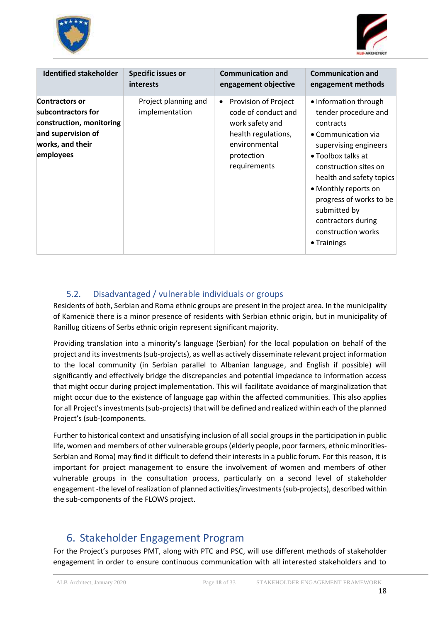



| <b>Identified stakeholder</b>                                                                                                  | <b>Specific issues or</b>              | <b>Communication and</b>                                                                                                                          | <b>Communication and</b>                                                                                                                                                                                                                                                                                                    |
|--------------------------------------------------------------------------------------------------------------------------------|----------------------------------------|---------------------------------------------------------------------------------------------------------------------------------------------------|-----------------------------------------------------------------------------------------------------------------------------------------------------------------------------------------------------------------------------------------------------------------------------------------------------------------------------|
|                                                                                                                                | <i>interests</i>                       | engagement objective                                                                                                                              | engagement methods                                                                                                                                                                                                                                                                                                          |
| <b>Contractors or</b><br>subcontractors for<br>construction, monitoring<br>and supervision of<br>works, and their<br>employees | Project planning and<br>implementation | Provision of Project<br>$\bullet$<br>code of conduct and<br>work safety and<br>health regulations,<br>environmental<br>protection<br>requirements | • Information through<br>tender procedure and<br>contracts<br>• Communication via<br>supervising engineers<br>• Toolbox talks at<br>construction sites on<br>health and safety topics<br>• Monthly reports on<br>progress of works to be<br>submitted by<br>contractors during<br>construction works<br>$\bullet$ Trainings |

### 5.2. Disadvantaged / vulnerable individuals or groups

<span id="page-17-0"></span>Residents of both, Serbian and Roma ethnic groups are present in the project area. In the municipality of Kamenicë there is a minor presence of residents with Serbian ethnic origin, but in municipality of Ranillug citizens of Serbs ethnic origin represent significant majority.

Providing translation into a minority's language (Serbian) for the local population on behalf of the project and its investments (sub-projects), as well as actively disseminate relevant project information to the local community (in Serbian parallel to Albanian language, and English if possible) will significantly and effectively bridge the discrepancies and potential impedance to information access that might occur during project implementation. This will facilitate avoidance of marginalization that might occur due to the existence of language gap within the affected communities. This also applies for all Project's investments (sub-projects) that will be defined and realized within each of the planned Project's (sub-)components.

Further to historical context and unsatisfying inclusion of all social groups in the participation in public life, women and members of other vulnerable groups (elderly people, poor farmers, ethnic minorities-Serbian and Roma) may find it difficult to defend their interests in a public forum. For this reason, it is important for project management to ensure the involvement of women and members of other vulnerable groups in the consultation process, particularly on a second level of stakeholder engagement -the level of realization of planned activities/investments (sub-projects), described within the sub-components of the FLOWS project.

# <span id="page-17-1"></span>6. Stakeholder Engagement Program

For the Project's purposes PMT, along with PTC and PSC, will use different methods of stakeholder engagement in order to ensure continuous communication with all interested stakeholders and to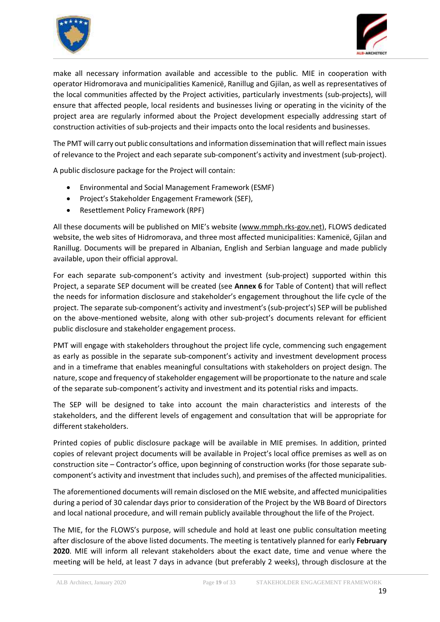



make all necessary information available and accessible to the public. MIE in cooperation with operator Hidromorava and municipalities Kamenicë, Ranillug and Gjilan, as well as representatives of the local communities affected by the Project activities, particularly investments (sub-projects), will ensure that affected people, local residents and businesses living or operating in the vicinity of the project area are regularly informed about the Project development especially addressing start of construction activities of sub-projects and their impacts onto the local residents and businesses.

The PMT will carry out public consultations and information dissemination that will reflect main issues of relevance to the Project and each separate sub-component's activity and investment (sub-project).

A public disclosure package for the Project will contain:

- Environmental and Social Management Framework (ESMF)
- Project's Stakeholder Engagement Framework (SEF),
- Resettlement Policy Framework (RPF)

All these documents will be published on MIE's website [\(www.mmph.rks-gov.net\)](http://www.mmph.rks-gov.net/), FLOWS dedicated website, the web sites of Hidromorava, and three most affected municipalities: Kamenicë, Gjilan and Ranillug. Documents will be prepared in Albanian, English and Serbian language and made publicly available, upon their official approval.

For each separate sub-component's activity and investment (sub-project) supported within this Project, a separate SEP document will be created (see **Annex 6** for Table of Content) that will reflect the needs for information disclosure and stakeholder's engagement throughout the life cycle of the project. The separate sub-component's activity and investment's (sub-project's) SEP will be published on the above-mentioned website, along with other sub-project's documents relevant for efficient public disclosure and stakeholder engagement process.

PMT will engage with stakeholders throughout the project life cycle, commencing such engagement as early as possible in the separate sub-component's activity and investment development process and in a timeframe that enables meaningful consultations with stakeholders on project design. The nature, scope and frequency of stakeholder engagement will be proportionate to the nature and scale of the separate sub-component's activity and investment and its potential risks and impacts.

The SEP will be designed to take into account the main characteristics and interests of the stakeholders, and the different levels of engagement and consultation that will be appropriate for different stakeholders.

Printed copies of public disclosure package will be available in MIE premises. In addition, printed copies of relevant project documents will be available in Project's local office premises as well as on construction site – Contractor's office, upon beginning of construction works (for those separate subcomponent's activity and investment that includes such), and premises of the affected municipalities.

The aforementioned documents will remain disclosed on the MIE website, and affected municipalities during a period of 30 calendar days prior to consideration of the Project by the WB Board of Directors and local national procedure, and will remain publicly available throughout the life of the Project.

The MIE, for the FLOWS's purpose, will schedule and hold at least one public consultation meeting after disclosure of the above listed documents. The meeting is tentatively planned for early **February 2020**. MIE will inform all relevant stakeholders about the exact date, time and venue where the meeting will be held, at least 7 days in advance (but preferably 2 weeks), through disclosure at the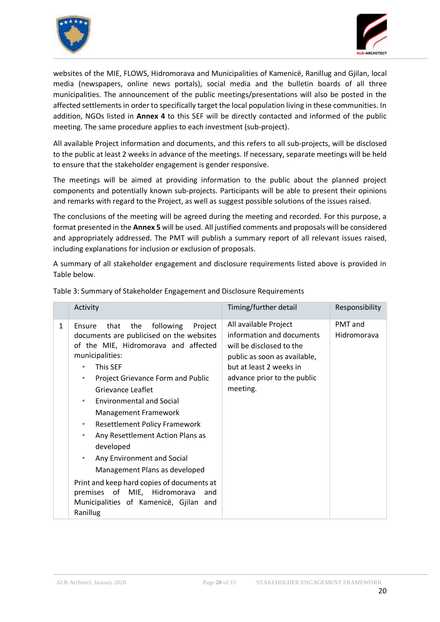



websites of the MIE, FLOWS, Hidromorava and Municipalities of Kamenicë, Ranillug and Gjilan, local media (newspapers, online news portals), social media and the bulletin boards of all three municipalities. The announcement of the public meetings/presentations will also be posted in the affected settlements in order to specifically target the local population living in these communities. In addition, NGOs listed in **Annex 4** to this SEF will be directly contacted and informed of the public meeting. The same procedure applies to each investment (sub-project).

All available Project information and documents, and this refers to all sub-projects, will be disclosed to the public at least 2 weeks in advance of the meetings. If necessary, separate meetings will be held to ensure that the stakeholder engagement is gender responsive.

The meetings will be aimed at providing information to the public about the planned project components and potentially known sub-projects. Participants will be able to present their opinions and remarks with regard to the Project, as well as suggest possible solutions of the issues raised.

The conclusions of the meeting will be agreed during the meeting and recorded. For this purpose, a format presented in the **Annex 5** will be used. All justified comments and proposals will be considered and appropriately addressed. The PMT will publish a summary report of all relevant issues raised, including explanations for inclusion or exclusion of proposals.

A summary of all stakeholder engagement and disclosure requirements listed above is provided in Table below.

|              | Activity                                                                                                                                                                                                                                                                                                                                                                                                                                                                                                                                                                                                                     | Timing/further detail                                                                                                                                                                | Responsibility         |
|--------------|------------------------------------------------------------------------------------------------------------------------------------------------------------------------------------------------------------------------------------------------------------------------------------------------------------------------------------------------------------------------------------------------------------------------------------------------------------------------------------------------------------------------------------------------------------------------------------------------------------------------------|--------------------------------------------------------------------------------------------------------------------------------------------------------------------------------------|------------------------|
| $\mathbf{1}$ | following<br>that<br>the<br>Project<br>Ensure<br>documents are publicised on the websites<br>of the MIE, Hidromorava and affected<br>municipalities:<br>This SEF<br>Project Grievance Form and Public<br>۰<br>Grievance Leaflet<br><b>Environmental and Social</b><br>٠<br>Management Framework<br><b>Resettlement Policy Framework</b><br>$\bullet$<br>Any Resettlement Action Plans as<br>۰<br>developed<br>Any Environment and Social<br>٠<br>Management Plans as developed<br>Print and keep hard copies of documents at<br>of MIE, Hidromorava<br>premises<br>and<br>Municipalities of Kamenicë, Gjilan and<br>Ranillug | All available Project<br>information and documents<br>will be disclosed to the<br>public as soon as available,<br>but at least 2 weeks in<br>advance prior to the public<br>meeting. | PMT and<br>Hidromorava |

Table 3: Summary of Stakeholder Engagement and Disclosure Requirements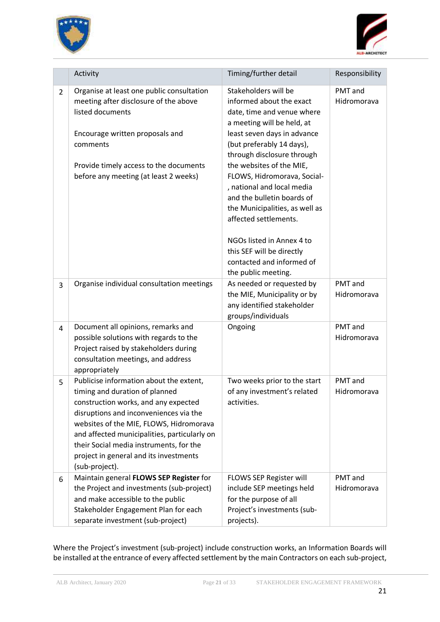



|                | Activity                                                                                                                                                                                                                                                                                                                                                      | Timing/further detail                                                                                                                                                                                                                                                                                                                                                                                                                                                                                  | Responsibility         |
|----------------|---------------------------------------------------------------------------------------------------------------------------------------------------------------------------------------------------------------------------------------------------------------------------------------------------------------------------------------------------------------|--------------------------------------------------------------------------------------------------------------------------------------------------------------------------------------------------------------------------------------------------------------------------------------------------------------------------------------------------------------------------------------------------------------------------------------------------------------------------------------------------------|------------------------|
| $\overline{2}$ | Organise at least one public consultation<br>meeting after disclosure of the above<br>listed documents<br>Encourage written proposals and<br>comments<br>Provide timely access to the documents<br>before any meeting (at least 2 weeks)                                                                                                                      | Stakeholders will be<br>informed about the exact<br>date, time and venue where<br>a meeting will be held, at<br>least seven days in advance<br>(but preferably 14 days),<br>through disclosure through<br>the websites of the MIE,<br>FLOWS, Hidromorava, Social-<br>, national and local media<br>and the bulletin boards of<br>the Municipalities, as well as<br>affected settlements.<br>NGOs listed in Annex 4 to<br>this SEF will be directly<br>contacted and informed of<br>the public meeting. | PMT and<br>Hidromorava |
| 3              | Organise individual consultation meetings                                                                                                                                                                                                                                                                                                                     | As needed or requested by<br>the MIE, Municipality or by<br>any identified stakeholder<br>groups/individuals                                                                                                                                                                                                                                                                                                                                                                                           | PMT and<br>Hidromorava |
| 4              | Document all opinions, remarks and<br>possible solutions with regards to the<br>Project raised by stakeholders during<br>consultation meetings, and address<br>appropriately                                                                                                                                                                                  | Ongoing                                                                                                                                                                                                                                                                                                                                                                                                                                                                                                | PMT and<br>Hidromorava |
| 5              | Publicise information about the extent,<br>timing and duration of planned<br>construction works, and any expected<br>disruptions and inconveniences via the<br>websites of the MIE, FLOWS, Hidromorava<br>and affected municipalities, particularly on<br>their Social media instruments, for the<br>project in general and its investments<br>(sub-project). | Two weeks prior to the start<br>of any investment's related<br>activities.                                                                                                                                                                                                                                                                                                                                                                                                                             | PMT and<br>Hidromorava |
| 6              | Maintain general FLOWS SEP Register for<br>the Project and investments (sub-project)<br>and make accessible to the public<br>Stakeholder Engagement Plan for each<br>separate investment (sub-project)                                                                                                                                                        | FLOWS SEP Register will<br>include SEP meetings held<br>for the purpose of all<br>Project's investments (sub-<br>projects).                                                                                                                                                                                                                                                                                                                                                                            | PMT and<br>Hidromorava |

Where the Project's investment (sub-project) include construction works, an Information Boards will be installed at the entrance of every affected settlement by the main Contractors on each sub-project,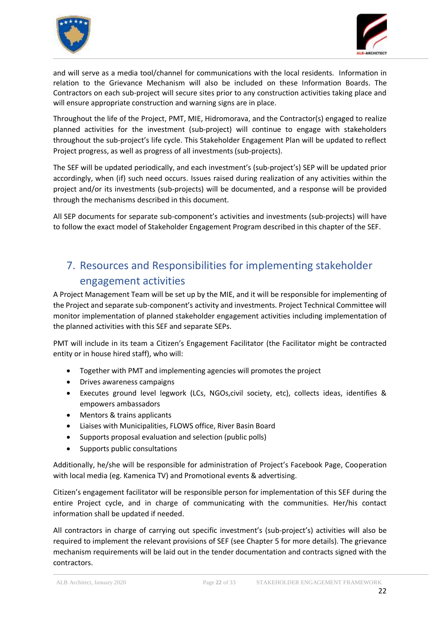



and will serve as a media tool/channel for communications with the local residents. Information in relation to the Grievance Mechanism will also be included on these Information Boards. The Contractors on each sub-project will secure sites prior to any construction activities taking place and will ensure appropriate construction and warning signs are in place.

Throughout the life of the Project, PMT, MIE, Hidromorava, and the Contractor(s) engaged to realize planned activities for the investment (sub-project) will continue to engage with stakeholders throughout the sub-project's life cycle. This Stakeholder Engagement Plan will be updated to reflect Project progress, as well as progress of all investments (sub-projects).

The SEF will be updated periodically, and each investment's (sub-project's) SEP will be updated prior accordingly, when (if) such need occurs. Issues raised during realization of any activities within the project and/or its investments (sub-projects) will be documented, and a response will be provided through the mechanisms described in this document.

All SEP documents for separate sub-component's activities and investments (sub-projects) will have to follow the exact model of Stakeholder Engagement Program described in this chapter of the SEF.

# <span id="page-21-0"></span>7. Resources and Responsibilities for implementing stakeholder engagement activities

A Project Management Team will be set up by the MIE, and it will be responsible for implementing of the Project and separate sub-component's activity and investments. Project Technical Committee will monitor implementation of planned stakeholder engagement activities including implementation of the planned activities with this SEF and separate SEPs.

PMT will include in its team a Citizen's Engagement Facilitator (the Facilitator might be contracted entity or in house hired staff), who will:

- Together with PMT and implementing agencies will promotes the project
- Drives awareness campaigns
- Executes ground level legwork (LCs, NGOs,civil society, etc), collects ideas, identifies & empowers ambassadors
- Mentors & trains applicants
- Liaises with Municipalities, FLOWS office, River Basin Board
- Supports proposal evaluation and selection (public polls)
- Supports public consultations

Additionally, he/she will be responsible for administration of Project's Facebook Page, Cooperation with local media (eg. Kamenica TV) and Promotional events & advertising.

Citizen's engagement facilitator will be responsible person for implementation of this SEF during the entire Project cycle, and in charge of communicating with the communities. Her/his contact information shall be updated if needed.

All contractors in charge of carrying out specific investment's (sub-project's) activities will also be required to implement the relevant provisions of SEF (see Chapter 5 for more details). The grievance mechanism requirements will be laid out in the tender documentation and contracts signed with the contractors.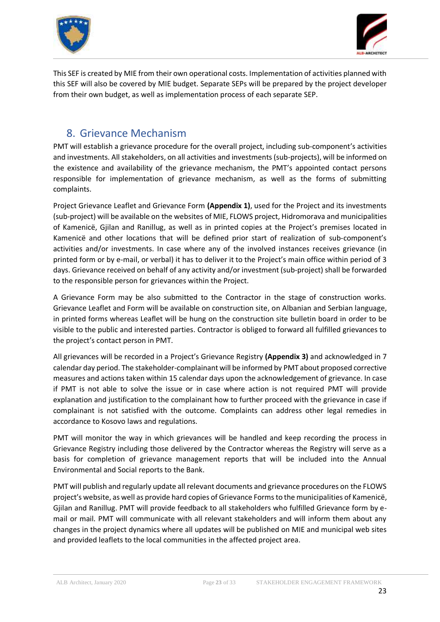



This SEF is created by MIE from their own operational costs. Implementation of activities planned with this SEF will also be covered by MIE budget. Separate SEPs will be prepared by the project developer from their own budget, as well as implementation process of each separate SEP.

# <span id="page-22-0"></span>8. Grievance Mechanism

PMT will establish a grievance procedure for the overall project, including sub-component's activities and investments. All stakeholders, on all activities and investments (sub-projects), will be informed on the existence and availability of the grievance mechanism, the PMT's appointed contact persons responsible for implementation of grievance mechanism, as well as the forms of submitting complaints.

Project Grievance Leaflet and Grievance Form **(Appendix 1)**, used for the Project and its investments (sub-project) will be available on the websites of MIE, FLOWS project, Hidromorava and municipalities of Kamenicë, Gjilan and Ranillug, as well as in printed copies at the Project's premises located in Kamenicë and other locations that will be defined prior start of realization of sub-component's activities and/or investments. In case where any of the involved instances receives grievance (in printed form or by e-mail, or verbal) it has to deliver it to the Project's main office within period of 3 days. Grievance received on behalf of any activity and/or investment (sub-project) shall be forwarded to the responsible person for grievances within the Project.

A Grievance Form may be also submitted to the Contractor in the stage of construction works. Grievance Leaflet and Form will be available on construction site, on Albanian and Serbian language, in printed forms whereas Leaflet will be hung on the construction site bulletin board in order to be visible to the public and interested parties. Contractor is obliged to forward all fulfilled grievances to the project's contact person in PMT.

All grievances will be recorded in a Project's Grievance Registry **(Appendix 3)** and acknowledged in 7 calendar day period. The stakeholder-complainant will be informed by PMT about proposed corrective measures and actions taken within 15 calendar days upon the acknowledgement of grievance. In case if PMT is not able to solve the issue or in case where action is not required PMT will provide explanation and justification to the complainant how to further proceed with the grievance in case if complainant is not satisfied with the outcome. Complaints can address other legal remedies in accordance to Kosovo laws and regulations.

PMT will monitor the way in which grievances will be handled and keep recording the process in Grievance Registry including those delivered by the Contractor whereas the Registry will serve as a basis for completion of grievance management reports that will be included into the Annual Environmental and Social reports to the Bank.

PMT will publish and regularly update all relevant documents and grievance procedures on the FLOWS project's website, as well as provide hard copies of Grievance Forms to the municipalities of Kamenicë, Gjilan and Ranillug. PMT will provide feedback to all stakeholders who fulfilled Grievance form by email or mail. PMT will communicate with all relevant stakeholders and will inform them about any changes in the project dynamics where all updates will be published on MIE and municipal web sites and provided leaflets to the local communities in the affected project area.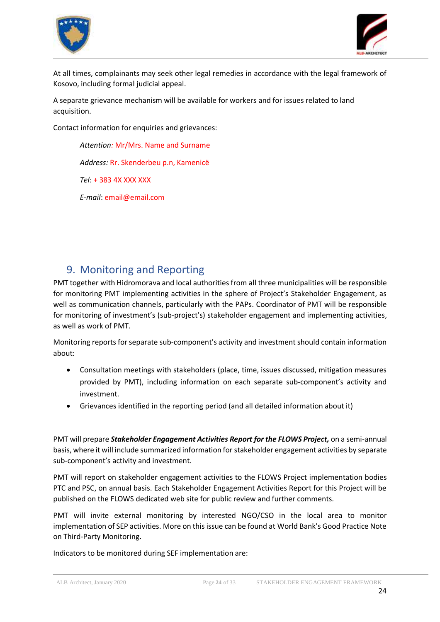



At all times, complainants may seek other legal remedies in accordance with the legal framework of Kosovo, including formal judicial appeal.

A separate grievance mechanism will be available for workers and for issues related to land acquisition.

Contact information for enquiries and grievances:

*Attention:* Mr/Mrs. Name and Surname *Address:* Rr. Skenderbeu p.n, Kamenicë *Tel*: + 383 4X XXX XXX *E-mail*: email@email.com

### <span id="page-23-0"></span>9. Monitoring and Reporting

PMT together with Hidromorava and local authorities from all three municipalities will be responsible for monitoring PMT implementing activities in the sphere of Project's Stakeholder Engagement, as well as communication channels, particularly with the PAPs. Coordinator of PMT will be responsible for monitoring of investment's (sub-project's) stakeholder engagement and implementing activities, as well as work of PMT.

Monitoring reports for separate sub-component's activity and investment should contain information about:

- Consultation meetings with stakeholders (place, time, issues discussed, mitigation measures provided by PMT), including information on each separate sub-component's activity and investment.
- Grievances identified in the reporting period (and all detailed information about it)

PMT will prepare *Stakeholder Engagement Activities Report for the FLOWS Project,* on a semi-annual basis, where it will include summarized information for stakeholder engagement activities by separate sub-component's activity and investment.

PMT will report on stakeholder engagement activities to the FLOWS Project implementation bodies PTC and PSC, on annual basis. Each Stakeholder Engagement Activities Report for this Project will be published on the FLOWS dedicated web site for public review and further comments.

PMT will invite external monitoring by interested NGO/CSO in the local area to monitor implementation of SEP activities. More on this issue can be found at World Bank's Good Practice Note on Third-Party Monitoring.

Indicators to be monitored during SEF implementation are: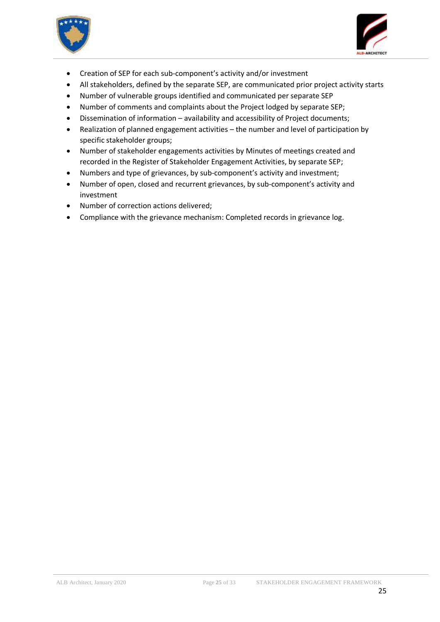



- Creation of SEP for each sub-component's activity and/or investment
- All stakeholders, defined by the separate SEP, are communicated prior project activity starts
- Number of vulnerable groups identified and communicated per separate SEP
- Number of comments and complaints about the Project lodged by separate SEP;
- Dissemination of information availability and accessibility of Project documents;
- Realization of planned engagement activities the number and level of participation by specific stakeholder groups;
- Number of stakeholder engagements activities by Minutes of meetings created and recorded in the Register of Stakeholder Engagement Activities, by separate SEP;
- Numbers and type of grievances, by sub-component's activity and investment;
- Number of open, closed and recurrent grievances, by sub-component's activity and investment
- Number of correction actions delivered;
- Compliance with the grievance mechanism: Completed records in grievance log.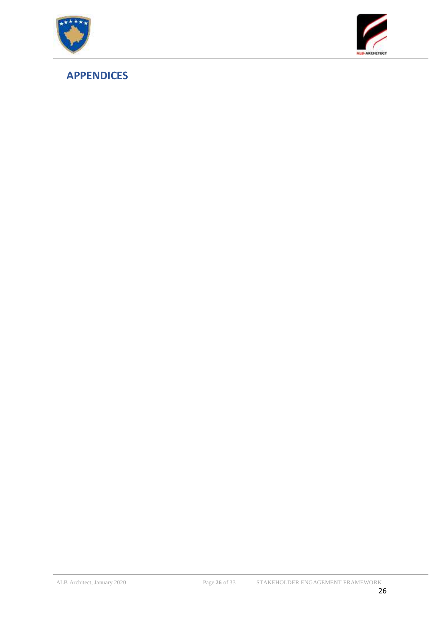



# <span id="page-25-0"></span>**APPENDICES**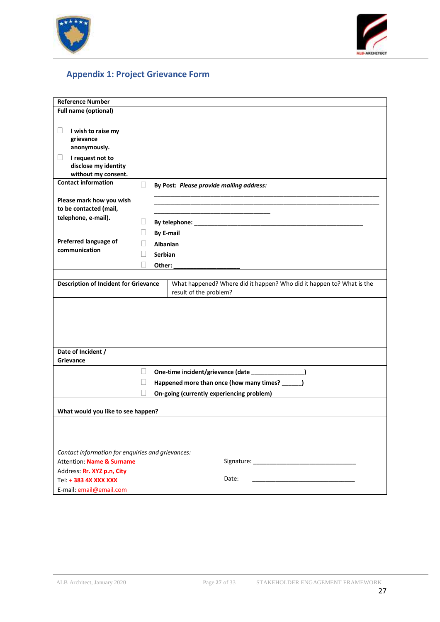



# <span id="page-26-0"></span>**Appendix 1: Project Grievance Form**

| <b>Reference Number</b>                                                        |                             |                                                                       |  |  |
|--------------------------------------------------------------------------------|-----------------------------|-----------------------------------------------------------------------|--|--|
| Full name (optional)                                                           |                             |                                                                       |  |  |
|                                                                                |                             |                                                                       |  |  |
| $\vert \ \ \vert$<br>I wish to raise my                                        |                             |                                                                       |  |  |
| grievance                                                                      |                             |                                                                       |  |  |
| anonymously.                                                                   |                             |                                                                       |  |  |
| I request not to<br>⊔                                                          |                             |                                                                       |  |  |
| disclose my identity                                                           |                             |                                                                       |  |  |
| without my consent.                                                            |                             |                                                                       |  |  |
| <b>Contact information</b>                                                     | ⊔                           | By Post: Please provide mailing address:                              |  |  |
| Please mark how you wish                                                       |                             |                                                                       |  |  |
| to be contacted (mail,                                                         |                             |                                                                       |  |  |
| telephone, e-mail).                                                            |                             |                                                                       |  |  |
|                                                                                |                             | u                                                                     |  |  |
| Preferred language of                                                          |                             | <b>By E-mail</b>                                                      |  |  |
| communication                                                                  | $\overline{\phantom{a}}$    | <b>Albanian</b>                                                       |  |  |
|                                                                                | $\vert \ \ \vert$           | Serbian                                                               |  |  |
|                                                                                | $\vert \ \ \vert$<br>Other: |                                                                       |  |  |
|                                                                                |                             |                                                                       |  |  |
| <b>Description of Incident for Grievance</b>                                   |                             | What happened? Where did it happen? Who did it happen to? What is the |  |  |
| result of the problem?                                                         |                             |                                                                       |  |  |
|                                                                                |                             |                                                                       |  |  |
|                                                                                |                             |                                                                       |  |  |
|                                                                                |                             |                                                                       |  |  |
|                                                                                |                             |                                                                       |  |  |
|                                                                                |                             |                                                                       |  |  |
|                                                                                |                             |                                                                       |  |  |
| Date of Incident /                                                             |                             |                                                                       |  |  |
| Grievance                                                                      |                             |                                                                       |  |  |
|                                                                                | u                           | One-time incident/grievance (date ________________)                   |  |  |
|                                                                                | $\Box$                      | Happened more than once (how many times? _____)                       |  |  |
|                                                                                |                             |                                                                       |  |  |
|                                                                                |                             | On-going (currently experiencing problem)                             |  |  |
| What would you like to see happen?                                             |                             |                                                                       |  |  |
|                                                                                |                             |                                                                       |  |  |
|                                                                                |                             |                                                                       |  |  |
|                                                                                |                             |                                                                       |  |  |
|                                                                                |                             |                                                                       |  |  |
| Contact information for enquiries and grievances:<br>Attention: Name & Surname |                             |                                                                       |  |  |
|                                                                                |                             |                                                                       |  |  |
| Address: Rr. XYZ p.n, City<br>Tel: + 383 4X XXX XXX                            |                             | Date:                                                                 |  |  |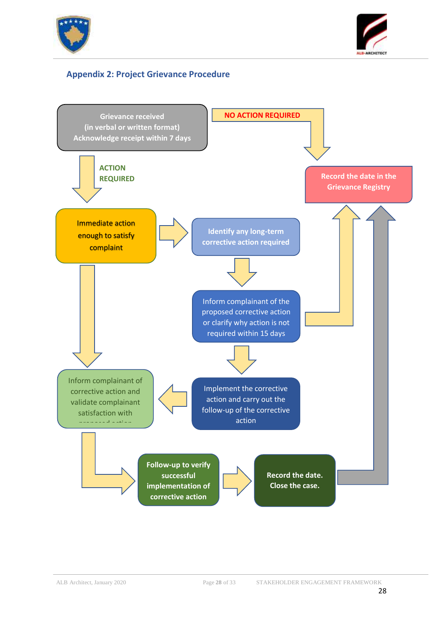



#### <span id="page-27-0"></span>**Appendix 2: Project Grievance Procedure**

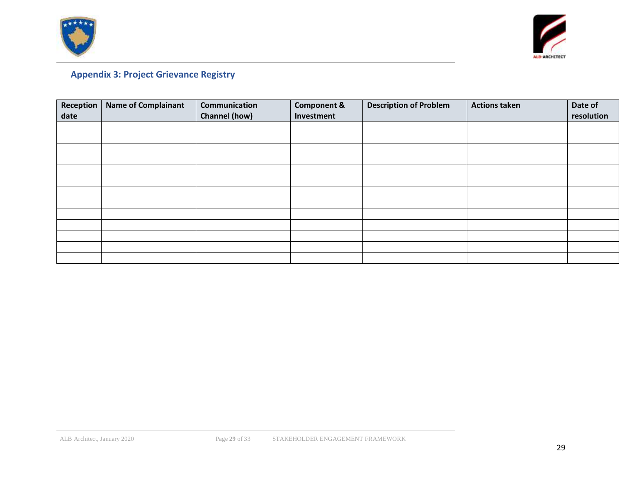



# **Appendix 3: Project Grievance Registry**

<span id="page-28-0"></span>

| <b>Reception</b><br>date | <b>Name of Complainant</b> | Communication<br><b>Channel (how)</b> | <b>Component &amp;</b><br>Investment | <b>Description of Problem</b> | <b>Actions taken</b> | Date of<br>resolution |
|--------------------------|----------------------------|---------------------------------------|--------------------------------------|-------------------------------|----------------------|-----------------------|
|                          |                            |                                       |                                      |                               |                      |                       |
|                          |                            |                                       |                                      |                               |                      |                       |
|                          |                            |                                       |                                      |                               |                      |                       |
|                          |                            |                                       |                                      |                               |                      |                       |
|                          |                            |                                       |                                      |                               |                      |                       |
|                          |                            |                                       |                                      |                               |                      |                       |
|                          |                            |                                       |                                      |                               |                      |                       |
|                          |                            |                                       |                                      |                               |                      |                       |
|                          |                            |                                       |                                      |                               |                      |                       |
|                          |                            |                                       |                                      |                               |                      |                       |
|                          |                            |                                       |                                      |                               |                      |                       |
|                          |                            |                                       |                                      |                               |                      |                       |
|                          |                            |                                       |                                      |                               |                      |                       |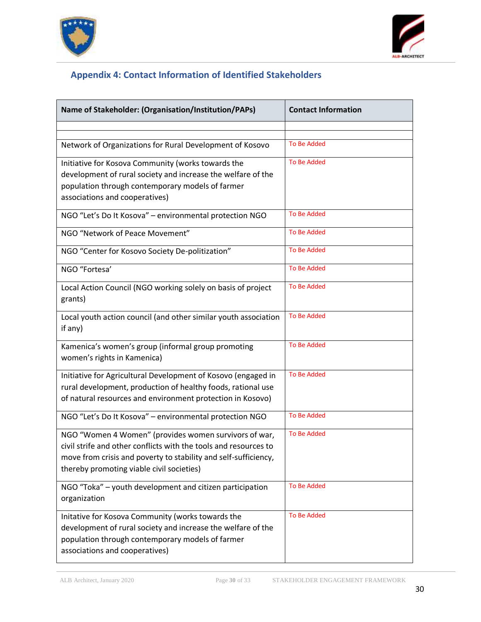



### **Appendix 4: Contact Information of Identified Stakeholders**

<span id="page-29-0"></span>

| Name of Stakeholder: (Organisation/Institution/PAPs)                                                                                                                                                                                      | <b>Contact Information</b> |
|-------------------------------------------------------------------------------------------------------------------------------------------------------------------------------------------------------------------------------------------|----------------------------|
|                                                                                                                                                                                                                                           |                            |
| Network of Organizations for Rural Development of Kosovo                                                                                                                                                                                  | <b>To Be Added</b>         |
| Initiative for Kosova Community (works towards the<br>development of rural society and increase the welfare of the<br>population through contemporary models of farmer<br>associations and cooperatives)                                  | <b>To Be Added</b>         |
| NGO "Let's Do It Kosova" - environmental protection NGO                                                                                                                                                                                   | <b>To Be Added</b>         |
| NGO "Network of Peace Movement"                                                                                                                                                                                                           | <b>To Be Added</b>         |
| NGO "Center for Kosovo Society De-politization"                                                                                                                                                                                           | <b>To Be Added</b>         |
| NGO "Fortesa'                                                                                                                                                                                                                             | <b>To Be Added</b>         |
| Local Action Council (NGO working solely on basis of project<br>grants)                                                                                                                                                                   | <b>To Be Added</b>         |
| Local youth action council (and other similar youth association<br>if any)                                                                                                                                                                | <b>To Be Added</b>         |
| Kamenica's women's group (informal group promoting<br>women's rights in Kamenica)                                                                                                                                                         | <b>To Be Added</b>         |
| Initiative for Agricultural Development of Kosovo (engaged in<br>rural development, production of healthy foods, rational use<br>of natural resources and environment protection in Kosovo)                                               | <b>To Be Added</b>         |
| NGO "Let's Do It Kosova" - environmental protection NGO                                                                                                                                                                                   | <b>To Be Added</b>         |
| NGO "Women 4 Women" (provides women survivors of war,<br>civil strife and other conflicts with the tools and resources to<br>move from crisis and poverty to stability and self-sufficiency,<br>thereby promoting viable civil societies) | <b>To Be Added</b>         |
| NGO "Toka" - youth development and citizen participation<br>organization                                                                                                                                                                  | <b>To Be Added</b>         |
| Initative for Kosova Community (works towards the<br>development of rural society and increase the welfare of the<br>population through contemporary models of farmer<br>associations and cooperatives)                                   | <b>To Be Added</b>         |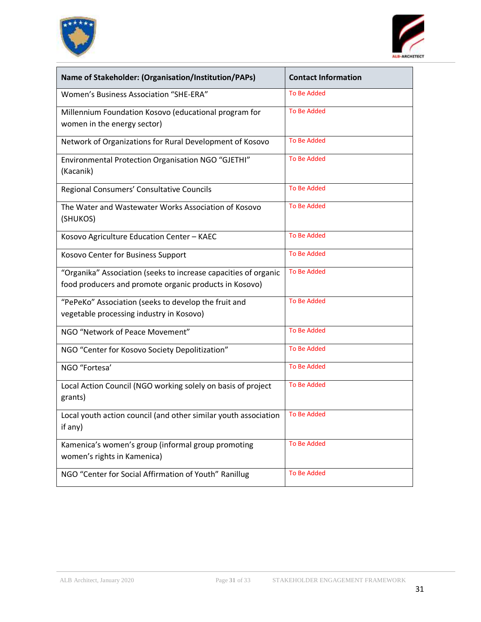



| Name of Stakeholder: (Organisation/Institution/PAPs)                                                                      | <b>Contact Information</b> |
|---------------------------------------------------------------------------------------------------------------------------|----------------------------|
| Women's Business Association "SHE-ERA"                                                                                    | <b>To Be Added</b>         |
| Millennium Foundation Kosovo (educational program for<br>women in the energy sector)                                      | <b>To Be Added</b>         |
| Network of Organizations for Rural Development of Kosovo                                                                  | <b>To Be Added</b>         |
| Environmental Protection Organisation NGO "GJETHI"<br>(Kacanik)                                                           | <b>To Be Added</b>         |
| Regional Consumers' Consultative Councils                                                                                 | <b>To Be Added</b>         |
| The Water and Wastewater Works Association of Kosovo<br>(SHUKOS)                                                          | <b>To Be Added</b>         |
| Kosovo Agriculture Education Center - KAEC                                                                                | <b>To Be Added</b>         |
| Kosovo Center for Business Support                                                                                        | <b>To Be Added</b>         |
| "Organika" Association (seeks to increase capacities of organic<br>food producers and promote organic products in Kosovo) | To Be Added                |
| "PePeKo" Association (seeks to develop the fruit and<br>vegetable processing industry in Kosovo)                          | <b>To Be Added</b>         |
| NGO "Network of Peace Movement"                                                                                           | <b>To Be Added</b>         |
| NGO "Center for Kosovo Society Depolitization"                                                                            | <b>To Be Added</b>         |
| NGO "Fortesa'                                                                                                             | <b>To Be Added</b>         |
| Local Action Council (NGO working solely on basis of project<br>grants)                                                   | <b>To Be Added</b>         |
| Local youth action council (and other similar youth association<br>if any)                                                | <b>To Be Added</b>         |
| Kamenica's women's group (informal group promoting<br>women's rights in Kamenica)                                         | <b>To Be Added</b>         |
| NGO "Center for Social Affirmation of Youth" Ranillug                                                                     | <b>To Be Added</b>         |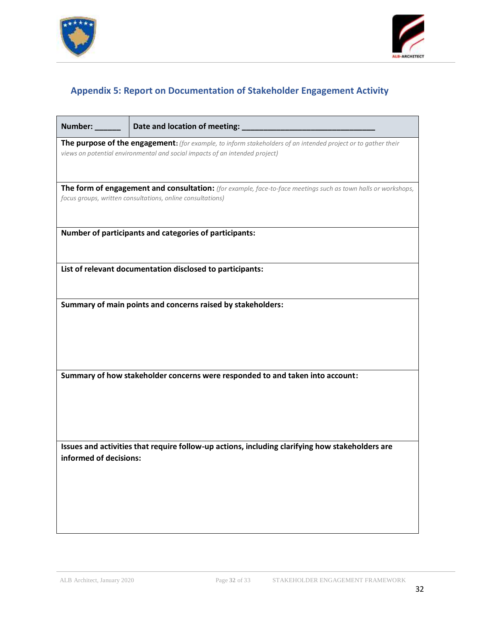



### **Appendix 5: Report on Documentation of Stakeholder Engagement Activity**

<span id="page-31-0"></span>

| Number: ______         | Date and location of meeting: _                                                                                                                                                              |
|------------------------|----------------------------------------------------------------------------------------------------------------------------------------------------------------------------------------------|
|                        | The purpose of the engagement: (for example, to inform stakeholders of an intended project or to gather their<br>views on potential environmental and social impacts of an intended project) |
|                        | The form of engagement and consultation: (for example, face-to-face meetings such as town halls or workshops,<br>focus groups, written consultations, online consultations)                  |
|                        | Number of participants and categories of participants:                                                                                                                                       |
|                        | List of relevant documentation disclosed to participants:                                                                                                                                    |
|                        | Summary of main points and concerns raised by stakeholders:                                                                                                                                  |
|                        |                                                                                                                                                                                              |
|                        | Summary of how stakeholder concerns were responded to and taken into account:                                                                                                                |
|                        |                                                                                                                                                                                              |
|                        | Issues and activities that require follow-up actions, including clarifying how stakeholders are                                                                                              |
| informed of decisions: |                                                                                                                                                                                              |
|                        |                                                                                                                                                                                              |
|                        |                                                                                                                                                                                              |